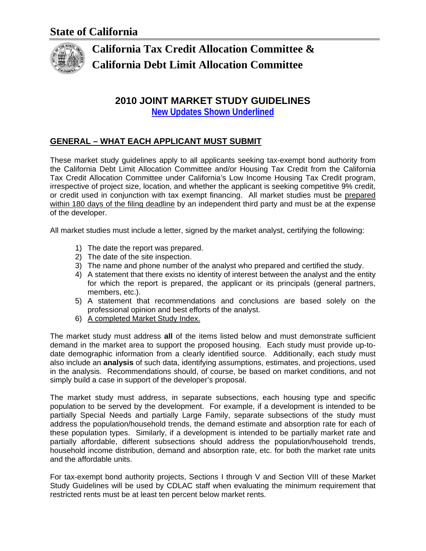

# **California Tax Credit Allocation Committee & California Debt Limit Allocation Committee**

# **2010 JOINT MARKET STUDY GUIDELINES**

**New Updates Shown Underlined**

# **GENERAL – WHAT EACH APPLICANT MUST SUBMIT**

These market study guidelines apply to all applicants seeking tax-exempt bond authority from the California Debt Limit Allocation Committee and/or Housing Tax Credit from the California Tax Credit Allocation Committee under California's Low Income Housing Tax Credit program, irrespective of project size, location, and whether the applicant is seeking competitive 9% credit, or credit used in conjunction with tax exempt financing. All market studies must be prepared within 180 days of the filing deadline by an independent third party and must be at the expense of the developer.

All market studies must include a letter, signed by the market analyst, certifying the following:

- 1) The date the report was prepared.
- 2) The date of the site inspection.
- 3) The name and phone number of the analyst who prepared and certified the study.
- 4) A statement that there exists no identity of interest between the analyst and the entity for which the report is prepared, the applicant or its principals (general partners, members, etc.).
- 5) A statement that recommendations and conclusions are based solely on the professional opinion and best efforts of the analyst.
- 6) A completed Market Study Index.

The market study must address **all** of the items listed below and must demonstrate sufficient demand in the market area to support the proposed housing. Each study must provide up-todate demographic information from a clearly identified source. Additionally, each study must also include an **analysis** of such data, identifying assumptions, estimates, and projections, used in the analysis. Recommendations should, of course, be based on market conditions, and not simply build a case in support of the developer's proposal.

The market study must address, in separate subsections, each housing type and specific population to be served by the development. For example, if a development is intended to be partially Special Needs and partially Large Family, separate subsections of the study must address the population/household trends, the demand estimate and absorption rate for each of these population types. Similarly, if a development is intended to be partially market rate and partially affordable, different subsections should address the population/household trends, household income distribution, demand and absorption rate, etc. for both the market rate units and the affordable units.

For tax-exempt bond authority projects, Sections I through V and Section VIII of these Market Study Guidelines will be used by CDLAC staff when evaluating the minimum requirement that restricted rents must be at least ten percent below market rents.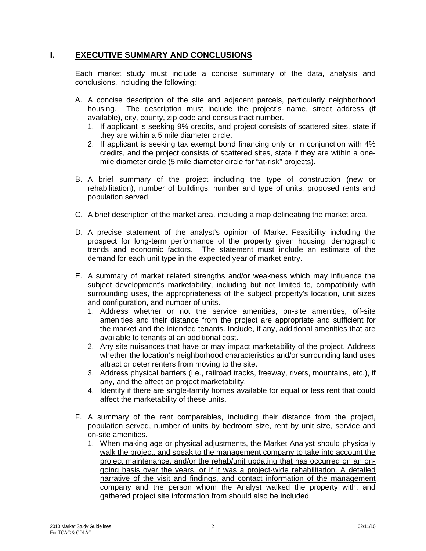## **I. EXECUTIVE SUMMARY AND CONCLUSIONS**

Each market study must include a concise summary of the data, analysis and conclusions, including the following:

- A. A concise description of the site and adjacent parcels, particularly neighborhood housing. The description must include the project's name, street address (if available), city, county, zip code and census tract number.
	- 1. If applicant is seeking 9% credits, and project consists of scattered sites, state if they are within a 5 mile diameter circle.
	- 2. If applicant is seeking tax exempt bond financing only or in conjunction with 4% credits, and the project consists of scattered sites, state if they are within a onemile diameter circle (5 mile diameter circle for "at-risk" projects).
- B. A brief summary of the project including the type of construction (new or rehabilitation), number of buildings, number and type of units, proposed rents and population served.
- C. A brief description of the market area, including a map delineating the market area.
- D. A precise statement of the analyst's opinion of Market Feasibility including the prospect for long-term performance of the property given housing, demographic trends and economic factors. The statement must include an estimate of the demand for each unit type in the expected year of market entry.
- E. A summary of market related strengths and/or weakness which may influence the subject development's marketability, including but not limited to, compatibility with surrounding uses, the appropriateness of the subject property's location, unit sizes and configuration, and number of units.
	- 1. Address whether or not the service amenities, on-site amenities, off-site amenities and their distance from the project are appropriate and sufficient for the market and the intended tenants. Include, if any, additional amenities that are available to tenants at an additional cost.
	- 2. Any site nuisances that have or may impact marketability of the project. Address whether the location's neighborhood characteristics and/or surrounding land uses attract or deter renters from moving to the site.
	- 3. Address physical barriers (i.e., railroad tracks, freeway, rivers, mountains, etc.), if any, and the affect on project marketability.
	- 4. Identify if there are single-family homes available for equal or less rent that could affect the marketability of these units.
- F. A summary of the rent comparables, including their distance from the project, population served, number of units by bedroom size, rent by unit size, service and on-site amenities.
	- 1. When making age or physical adjustments, the Market Analyst should physically walk the project, and speak to the management company to take into account the project maintenance, and/or the rehab/unit updating that has occurred on an ongoing basis over the years, or if it was a project-wide rehabilitation. A detailed narrative of the visit and findings, and contact information of the management company and the person whom the Analyst walked the property with, and gathered project site information from should also be included.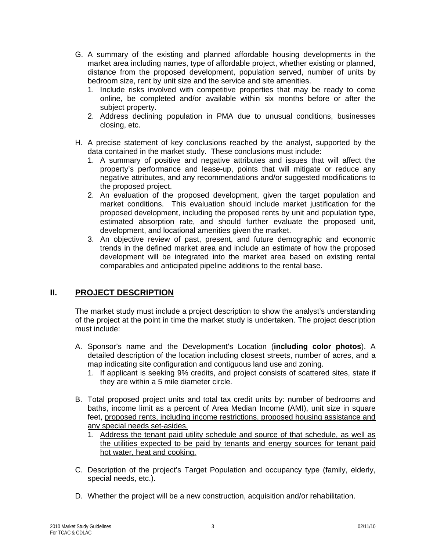- G. A summary of the existing and planned affordable housing developments in the market area including names, type of affordable project, whether existing or planned, distance from the proposed development, population served, number of units by bedroom size, rent by unit size and the service and site amenities.
	- 1. Include risks involved with competitive properties that may be ready to come online, be completed and/or available within six months before or after the subject property.
	- 2. Address declining population in PMA due to unusual conditions, businesses closing, etc.
- H. A precise statement of key conclusions reached by the analyst, supported by the data contained in the market study. These conclusions must include:
	- 1. A summary of positive and negative attributes and issues that will affect the property's performance and lease-up, points that will mitigate or reduce any negative attributes, and any recommendations and/or suggested modifications to the proposed project.
	- 2. An evaluation of the proposed development, given the target population and market conditions. This evaluation should include market justification for the proposed development, including the proposed rents by unit and population type, estimated absorption rate, and should further evaluate the proposed unit, development, and locational amenities given the market.
	- 3. An objective review of past, present, and future demographic and economic trends in the defined market area and include an estimate of how the proposed development will be integrated into the market area based on existing rental comparables and anticipated pipeline additions to the rental base.

# **II. PROJECT DESCRIPTION**

The market study must include a project description to show the analyst's understanding of the project at the point in time the market study is undertaken. The project description must include:

- A. Sponsor's name and the Development's Location (**including color photos**). A detailed description of the location including closest streets, number of acres, and a map indicating site configuration and contiguous land use and zoning.
	- 1. If applicant is seeking 9% credits, and project consists of scattered sites, state if they are within a 5 mile diameter circle.
- B. Total proposed project units and total tax credit units by: number of bedrooms and baths, income limit as a percent of Area Median Income (AMI), unit size in square feet, proposed rents, including income restrictions, proposed housing assistance and any special needs set-asides.
	- 1. Address the tenant paid utility schedule and source of that schedule, as well as the utilities expected to be paid by tenants and energy sources for tenant paid hot water, heat and cooking.
- C. Description of the project's Target Population and occupancy type (family, elderly, special needs, etc.).
- D. Whether the project will be a new construction, acquisition and/or rehabilitation.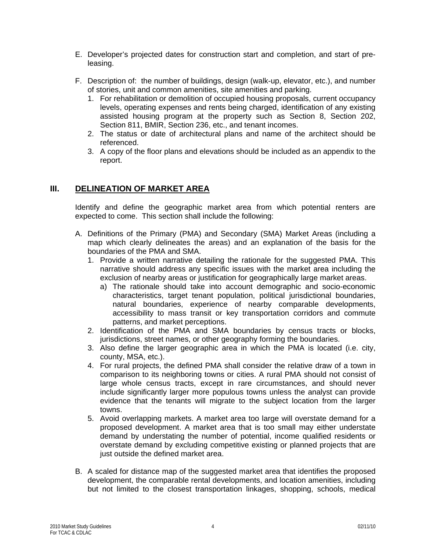- E. Developer's projected dates for construction start and completion, and start of preleasing.
- F. Description of: the number of buildings, design (walk-up, elevator, etc.), and number of stories, unit and common amenities, site amenities and parking.
	- 1. For rehabilitation or demolition of occupied housing proposals, current occupancy levels, operating expenses and rents being charged, identification of any existing assisted housing program at the property such as Section 8, Section 202, Section 811, BMIR, Section 236, etc., and tenant incomes.
	- 2. The status or date of architectural plans and name of the architect should be referenced.
	- 3. A copy of the floor plans and elevations should be included as an appendix to the report.

### **III. DELINEATION OF MARKET AREA**

Identify and define the geographic market area from which potential renters are expected to come. This section shall include the following:

- A. Definitions of the Primary (PMA) and Secondary (SMA) Market Areas (including a map which clearly delineates the areas) and an explanation of the basis for the boundaries of the PMA and SMA.
	- 1. Provide a written narrative detailing the rationale for the suggested PMA. This narrative should address any specific issues with the market area including the exclusion of nearby areas or justification for geographically large market areas.
		- a) The rationale should take into account demographic and socio-economic characteristics, target tenant population, political jurisdictional boundaries, natural boundaries, experience of nearby comparable developments, accessibility to mass transit or key transportation corridors and commute patterns, and market perceptions.
	- 2. Identification of the PMA and SMA boundaries by census tracts or blocks, jurisdictions, street names, or other geography forming the boundaries.
	- 3. Also define the larger geographic area in which the PMA is located (i.e. city, county, MSA, etc.).
	- 4. For rural projects, the defined PMA shall consider the relative draw of a town in comparison to its neighboring towns or cities. A rural PMA should not consist of large whole census tracts, except in rare circumstances, and should never include significantly larger more populous towns unless the analyst can provide evidence that the tenants will migrate to the subject location from the larger towns.
	- 5. Avoid overlapping markets. A market area too large will overstate demand for a proposed development. A market area that is too small may either understate demand by understating the number of potential, income qualified residents or overstate demand by excluding competitive existing or planned projects that are just outside the defined market area.
- B. A scaled for distance map of the suggested market area that identifies the proposed development, the comparable rental developments, and location amenities, including but not limited to the closest transportation linkages, shopping, schools, medical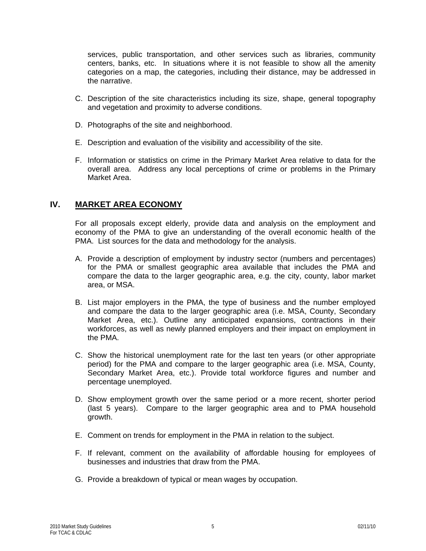services, public transportation, and other services such as libraries, community centers, banks, etc. In situations where it is not feasible to show all the amenity categories on a map, the categories, including their distance, may be addressed in the narrative.

- C. Description of the site characteristics including its size, shape, general topography and vegetation and proximity to adverse conditions.
- D. Photographs of the site and neighborhood.
- E. Description and evaluation of the visibility and accessibility of the site.
- F. Information or statistics on crime in the Primary Market Area relative to data for the overall area. Address any local perceptions of crime or problems in the Primary Market Area.

#### **IV. MARKET AREA ECONOMY**

For all proposals except elderly, provide data and analysis on the employment and economy of the PMA to give an understanding of the overall economic health of the PMA. List sources for the data and methodology for the analysis.

- A. Provide a description of employment by industry sector (numbers and percentages) for the PMA or smallest geographic area available that includes the PMA and compare the data to the larger geographic area, e.g. the city, county, labor market area, or MSA.
- B. List major employers in the PMA, the type of business and the number employed and compare the data to the larger geographic area (i.e. MSA, County, Secondary Market Area, etc.). Outline any anticipated expansions, contractions in their workforces, as well as newly planned employers and their impact on employment in the PMA.
- C. Show the historical unemployment rate for the last ten years (or other appropriate period) for the PMA and compare to the larger geographic area (i.e. MSA, County, Secondary Market Area, etc.). Provide total workforce figures and number and percentage unemployed.
- D. Show employment growth over the same period or a more recent, shorter period (last 5 years). Compare to the larger geographic area and to PMA household growth.
- E. Comment on trends for employment in the PMA in relation to the subject.
- F. If relevant, comment on the availability of affordable housing for employees of businesses and industries that draw from the PMA.
- G. Provide a breakdown of typical or mean wages by occupation.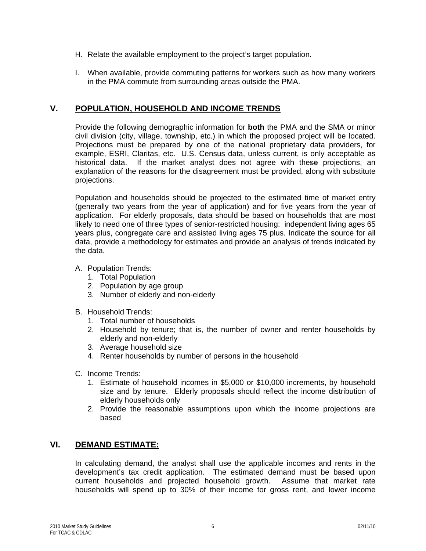- H. Relate the available employment to the project's target population.
- I. When available, provide commuting patterns for workers such as how many workers in the PMA commute from surrounding areas outside the PMA.

# **V. POPULATION, HOUSEHOLD AND INCOME TRENDS**

Provide the following demographic information for **both** the PMA and the SMA or minor civil division (city, village, township, etc.) in which the proposed project will be located. Projections must be prepared by one of the national proprietary data providers, for example, ESRI, Claritas, etc. U.S. Census data, unless current, is only acceptable as historical data. If the market analyst does not agree with these projections, an explanation of the reasons for the disagreement must be provided, along with substitute projections.

Population and households should be projected to the estimated time of market entry (generally two years from the year of application) and for five years from the year of application. For elderly proposals, data should be based on households that are most likely to need one of three types of senior-restricted housing: independent living ages 65 years plus, congregate care and assisted living ages 75 plus. Indicate the source for all data, provide a methodology for estimates and provide an analysis of trends indicated by the data.

#### A. Population Trends:

- 1. Total Population
- 2. Population by age group
- 3. Number of elderly and non-elderly
- B. Household Trends:
	- 1. Total number of households
	- 2. Household by tenure; that is, the number of owner and renter households by elderly and non-elderly
	- 3. Average household size
	- 4. Renter households by number of persons in the household
- C. Income Trends:
	- 1. Estimate of household incomes in \$5,000 or \$10,000 increments, by household size and by tenure. Elderly proposals should reflect the income distribution of elderly households only
	- 2. Provide the reasonable assumptions upon which the income projections are based

# **VI. DEMAND ESTIMATE:**

In calculating demand, the analyst shall use the applicable incomes and rents in the development's tax credit application. The estimated demand must be based upon current households and projected household growth. Assume that market rate households will spend up to 30% of their income for gross rent, and lower income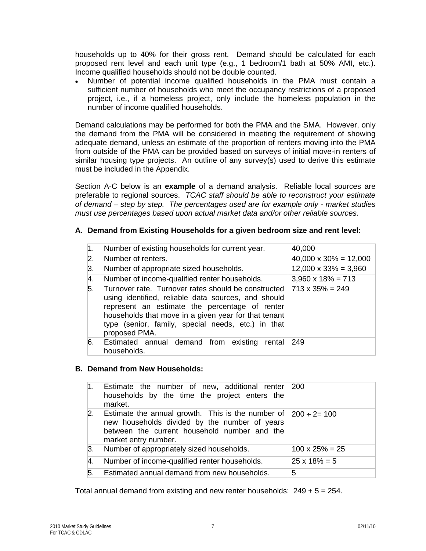households up to 40% for their gross rent. Demand should be calculated for each proposed rent level and each unit type (e.g., 1 bedroom/1 bath at 50% AMI, etc.). Income qualified households should not be double counted.

• Number of potential income qualified households in the PMA must contain a sufficient number of households who meet the occupancy restrictions of a proposed project, i.e., if a homeless project, only include the homeless population in the number of income qualified households.

Demand calculations may be performed for both the PMA and the SMA. However, only the demand from the PMA will be considered in meeting the requirement of showing adequate demand, unless an estimate of the proportion of renters moving into the PMA from outside of the PMA can be provided based on surveys of initial move-in renters of similar housing type projects. An outline of any survey(s) used to derive this estimate must be included in the Appendix.

Section A-C below is an **example** of a demand analysis. Reliable local sources are preferable to regional sources. *TCAC staff should be able to reconstruct your estimate of demand – step by step. The percentages used are for example only - market studies must use percentages based upon actual market data and/or other reliable sources.*

#### **A. Demand from Existing Households for a given bedroom size and rent level:**

| $\mathbf{1}$ . | Number of existing households for current year.                                                                                                                                                                                                                                             | 40,000                        |
|----------------|---------------------------------------------------------------------------------------------------------------------------------------------------------------------------------------------------------------------------------------------------------------------------------------------|-------------------------------|
| 2.             | Number of renters.                                                                                                                                                                                                                                                                          | $40,000 \times 30\% = 12,000$ |
| 3.             | Number of appropriate sized households.                                                                                                                                                                                                                                                     | $12,000 \times 33\% = 3,960$  |
| 4.             | Number of income-qualified renter households.                                                                                                                                                                                                                                               | $3,960 \times 18\% = 713$     |
| 5.             | Turnover rate. Turnover rates should be constructed<br>using identified, reliable data sources, and should<br>represent an estimate the percentage of renter<br>households that move in a given year for that tenant<br>type (senior, family, special needs, etc.) in that<br>proposed PMA. | $713 \times 35\% = 249$       |
| 6.             | Estimated annual demand from existing rental<br>households.                                                                                                                                                                                                                                 | 249                           |

#### **B. Demand from New Households:**

| 1. | Estimate the number of new, additional renter<br>households by the time the project enters the<br>market.                                                                                           | 200                    |
|----|-----------------------------------------------------------------------------------------------------------------------------------------------------------------------------------------------------|------------------------|
| 2. | Estimate the annual growth. This is the number of $\frac{1}{200}$ ÷ 2= 100<br>new households divided by the number of years<br>between the current household number and the<br>market entry number. |                        |
| З. | Number of appropriately sized households.                                                                                                                                                           | $100 \times 25\% = 25$ |
| 4. | Number of income-qualified renter households.                                                                                                                                                       | $25 \times 18\% = 5$   |
| 5. | Estimated annual demand from new households.                                                                                                                                                        | 5                      |

Total annual demand from existing and new renter households:  $249 + 5 = 254$ .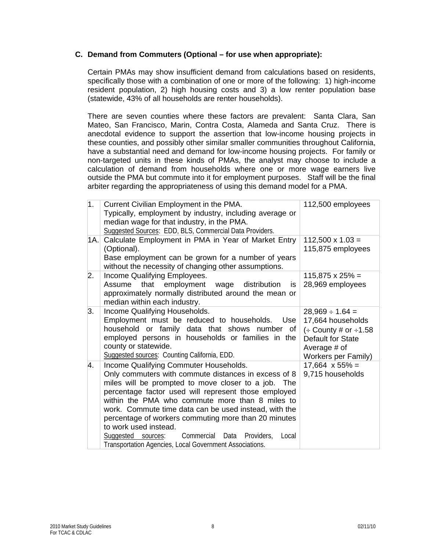#### **C. Demand from Commuters (Optional – for use when appropriate):**

Certain PMAs may show insufficient demand from calculations based on residents, specifically those with a combination of one or more of the following: 1) high-income resident population, 2) high housing costs and 3) a low renter population base (statewide, 43% of all households are renter households).

There are seven counties where these factors are prevalent: Santa Clara, San Mateo, San Francisco, Marin, Contra Costa, Alameda and Santa Cruz. There is anecdotal evidence to support the assertion that low-income housing projects in these counties, and possibly other similar smaller communities throughout California, have a substantial need and demand for low-income housing projects. For family or non-targeted units in these kinds of PMAs, the analyst may choose to include a calculation of demand from households where one or more wage earners live outside the PMA but commute into it for employment purposes. Staff will be the final arbiter regarding the appropriateness of using this demand model for a PMA.

| $\overline{1}$ . | Current Civilian Employment in the PMA.<br>Typically, employment by industry, including average or<br>median wage for that industry, in the PMA.<br>Suggested Sources: EDD, BLS, Commercial Data Providers.                                                                                                                                                                                                                                                                                                                              | 112,500 employees                                                                                                                              |
|------------------|------------------------------------------------------------------------------------------------------------------------------------------------------------------------------------------------------------------------------------------------------------------------------------------------------------------------------------------------------------------------------------------------------------------------------------------------------------------------------------------------------------------------------------------|------------------------------------------------------------------------------------------------------------------------------------------------|
| 1A.I             | Calculate Employment in PMA in Year of Market Entry<br>(Optional).<br>Base employment can be grown for a number of years<br>without the necessity of changing other assumptions.                                                                                                                                                                                                                                                                                                                                                         | $112,500 \times 1.03 =$<br>115,875 employees                                                                                                   |
| 2.               | Income Qualifying Employees.<br>Assume that employment<br>wage<br>distribution<br>is.<br>approximately normally distributed around the mean or<br>median within each industry.                                                                                                                                                                                                                                                                                                                                                           | $115,875 \times 25\% =$<br>28,969 employees                                                                                                    |
| 3.               | Income Qualifying Households.<br>Employment must be reduced to households.<br>Use<br>household or family data that shows number of<br>employed persons in households or families in the<br>county or statewide.<br>Suggested sources: Counting California, EDD.                                                                                                                                                                                                                                                                          | $28,969 \div 1.64 =$<br>17,664 households<br>$\div$ County # or $\div$ 1.58<br>Default for State<br>Average # of<br><b>Workers per Family)</b> |
| 4.               | Income Qualifying Commuter Households.<br>Only commuters with commute distances in excess of 8<br>miles will be prompted to move closer to a job. The<br>percentage factor used will represent those employed<br>within the PMA who commute more than 8 miles to<br>work. Commute time data can be used instead, with the<br>percentage of workers commuting more than 20 minutes<br>to work used instead.<br>Commercial<br>Data<br>Providers,<br>Suggested sources:<br>Local<br>Transportation Agencies, Local Government Associations. | $17,664 \times 55\% =$<br>9,715 households                                                                                                     |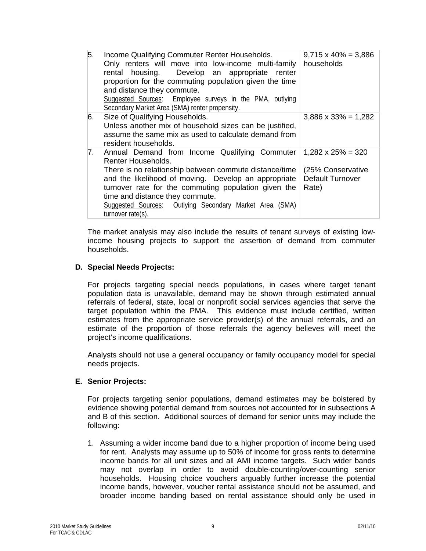| 5.          | Income Qualifying Commuter Renter Households.<br>Only renters will move into low-income multi-family<br>rental housing. Develop an appropriate renter<br>proportion for the commuting population given the time<br>and distance they commute.<br>Suggested Sources: Employee surveys in the PMA, outlying<br>Secondary Market Area (SMA) renter propensity.                                | $9,715 \times 40\% = 3,886$<br>households      |
|-------------|--------------------------------------------------------------------------------------------------------------------------------------------------------------------------------------------------------------------------------------------------------------------------------------------------------------------------------------------------------------------------------------------|------------------------------------------------|
| 6.          | Size of Qualifying Households.<br>Unless another mix of household sizes can be justified,<br>assume the same mix as used to calculate demand from<br>resident households.                                                                                                                                                                                                                  | $3,886 \times 33\% = 1,282$                    |
| $7_{\cdot}$ | Annual Demand from Income Qualifying Commuter $1,282 \times 25\% = 320$<br>Renter Households.<br>There is no relationship between commute distance/time<br>and the likelihood of moving. Develop an appropriate<br>turnover rate for the commuting population given the<br>time and distance they commute.<br>Suggested Sources: Outlying Secondary Market Area (SMA)<br>turnover rate(s). | (25% Conservative<br>Default Turnover<br>Rate) |

The market analysis may also include the results of tenant surveys of existing lowincome housing projects to support the assertion of demand from commuter households.

#### **D. Special Needs Projects:**

For projects targeting special needs populations, in cases where target tenant population data is unavailable, demand may be shown through estimated annual referrals of federal, state, local or nonprofit social services agencies that serve the target population within the PMA. This evidence must include certified, written estimates from the appropriate service provider(s) of the annual referrals, and an estimate of the proportion of those referrals the agency believes will meet the project's income qualifications.

Analysts should not use a general occupancy or family occupancy model for special needs projects.

#### **E. Senior Projects:**

For projects targeting senior populations, demand estimates may be bolstered by evidence showing potential demand from sources not accounted for in subsections A and B of this section. Additional sources of demand for senior units may include the following:

1. Assuming a wider income band due to a higher proportion of income being used for rent. Analysts may assume up to 50% of income for gross rents to determine income bands for all unit sizes and all AMI income targets. Such wider bands may not overlap in order to avoid double-counting/over-counting senior households. Housing choice vouchers arguably further increase the potential income bands, however, voucher rental assistance should not be assumed, and broader income banding based on rental assistance should only be used in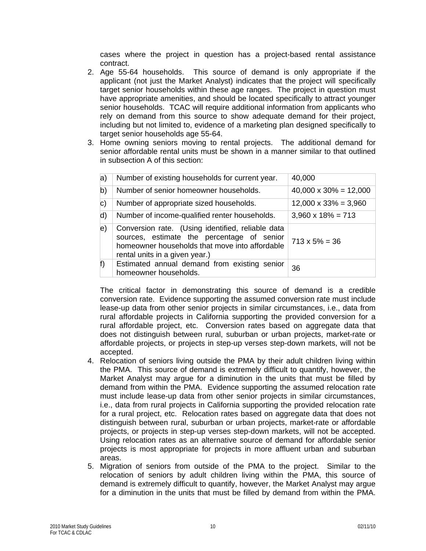cases where the project in question has a project-based rental assistance contract.

- 2. Age 55-64 households. This source of demand is only appropriate if the applicant (not just the Market Analyst) indicates that the project will specifically target senior households within these age ranges. The project in question must have appropriate amenities, and should be located specifically to attract younger senior households. TCAC will require additional information from applicants who rely on demand from this source to show adequate demand for their project, including but not limited to, evidence of a marketing plan designed specifically to target senior households age 55-64.
- 3. Home owning seniors moving to rental projects. The additional demand for senior affordable rental units must be shown in a manner similar to that outlined in subsection A of this section:

| a)                | Number of existing households for current year.                                                                                                                                     | 40,000                        |
|-------------------|-------------------------------------------------------------------------------------------------------------------------------------------------------------------------------------|-------------------------------|
| b)                | Number of senior homeowner households.                                                                                                                                              | $40,000 \times 30\% = 12,000$ |
| $\vert c \rangle$ | Number of appropriate sized households.                                                                                                                                             | $12,000 \times 33\% = 3,960$  |
| d)                | Number of income-qualified renter households.                                                                                                                                       | $3,960 \times 18\% = 713$     |
| $\vert e \rangle$ | Conversion rate. (Using identified, reliable data<br>sources, estimate the percentage of senior<br>homeowner households that move into affordable<br>rental units in a given year.) | $713 \times 5\% = 36$         |
| f)                | Estimated annual demand from existing senior<br>homeowner households.                                                                                                               | 36                            |

The critical factor in demonstrating this source of demand is a credible conversion rate. Evidence supporting the assumed conversion rate must include lease-up data from other senior projects in similar circumstances, i.e., data from rural affordable projects in California supporting the provided conversion for a rural affordable project, etc. Conversion rates based on aggregate data that does not distinguish between rural, suburban or urban projects, market-rate or affordable projects, or projects in step-up verses step-down markets, will not be accepted.

- 4. Relocation of seniors living outside the PMA by their adult children living within the PMA. This source of demand is extremely difficult to quantify, however, the Market Analyst may argue for a diminution in the units that must be filled by demand from within the PMA. Evidence supporting the assumed relocation rate must include lease-up data from other senior projects in similar circumstances, i.e., data from rural projects in California supporting the provided relocation rate for a rural project, etc. Relocation rates based on aggregate data that does not distinguish between rural, suburban or urban projects, market-rate or affordable projects, or projects in step-up verses step-down markets, will not be accepted. Using relocation rates as an alternative source of demand for affordable senior projects is most appropriate for projects in more affluent urban and suburban areas.
- 5. Migration of seniors from outside of the PMA to the project. Similar to the relocation of seniors by adult children living within the PMA, this source of demand is extremely difficult to quantify, however, the Market Analyst may argue for a diminution in the units that must be filled by demand from within the PMA.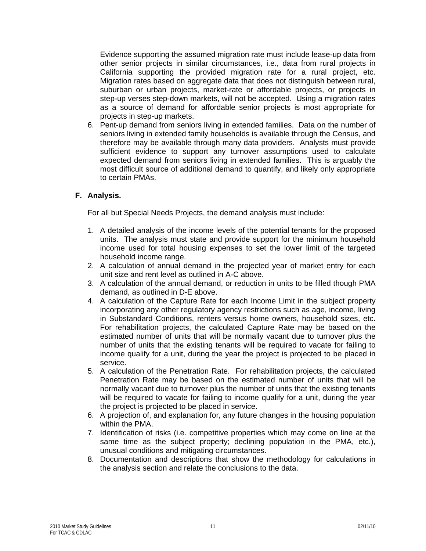Evidence supporting the assumed migration rate must include lease-up data from other senior projects in similar circumstances, i.e., data from rural projects in California supporting the provided migration rate for a rural project, etc. Migration rates based on aggregate data that does not distinguish between rural, suburban or urban projects, market-rate or affordable projects, or projects in step-up verses step-down markets, will not be accepted. Using a migration rates as a source of demand for affordable senior projects is most appropriate for projects in step-up markets.

6. Pent-up demand from seniors living in extended families. Data on the number of seniors living in extended family households is available through the Census, and therefore may be available through many data providers. Analysts must provide sufficient evidence to support any turnover assumptions used to calculate expected demand from seniors living in extended families. This is arguably the most difficult source of additional demand to quantify, and likely only appropriate to certain PMAs.

#### **F. Analysis.**

For all but Special Needs Projects, the demand analysis must include:

- 1. A detailed analysis of the income levels of the potential tenants for the proposed units. The analysis must state and provide support for the minimum household income used for total housing expenses to set the lower limit of the targeted household income range.
- 2. A calculation of annual demand in the projected year of market entry for each unit size and rent level as outlined in A-C above.
- 3. A calculation of the annual demand, or reduction in units to be filled though PMA demand, as outlined in D-E above.
- 4. A calculation of the Capture Rate for each Income Limit in the subject property incorporating any other regulatory agency restrictions such as age, income, living in Substandard Conditions, renters versus home owners, household sizes, etc. For rehabilitation projects, the calculated Capture Rate may be based on the estimated number of units that will be normally vacant due to turnover plus the number of units that the existing tenants will be required to vacate for failing to income qualify for a unit, during the year the project is projected to be placed in service.
- 5. A calculation of the Penetration Rate. For rehabilitation projects, the calculated Penetration Rate may be based on the estimated number of units that will be normally vacant due to turnover plus the number of units that the existing tenants will be required to vacate for failing to income qualify for a unit, during the year the project is projected to be placed in service.
- 6. A projection of, and explanation for, any future changes in the housing population within the PMA.
- 7. Identification of risks (i.e. competitive properties which may come on line at the same time as the subject property; declining population in the PMA, etc.), unusual conditions and mitigating circumstances.
- 8. Documentation and descriptions that show the methodology for calculations in the analysis section and relate the conclusions to the data.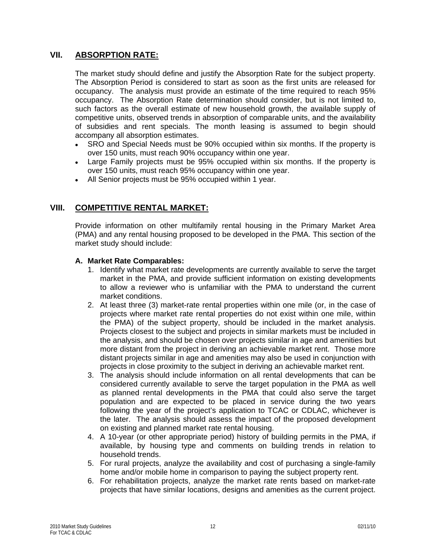### **VII. ABSORPTION RATE:**

The market study should define and justify the Absorption Rate for the subject property. The Absorption Period is considered to start as soon as the first units are released for occupancy. The analysis must provide an estimate of the time required to reach 95% occupancy. The Absorption Rate determination should consider, but is not limited to, such factors as the overall estimate of new household growth, the available supply of competitive units, observed trends in absorption of comparable units, and the availability of subsidies and rent specials. The month leasing is assumed to begin should accompany all absorption estimates.

- SRO and Special Needs must be 90% occupied within six months. If the property is over 150 units, must reach 90% occupancy within one year.
- Large Family projects must be 95% occupied within six months. If the property is over 150 units, must reach 95% occupancy within one year.
- All Senior projects must be 95% occupied within 1 year.

# **VIII. COMPETITIVE RENTAL MARKET:**

Provide information on other multifamily rental housing in the Primary Market Area (PMA) and any rental housing proposed to be developed in the PMA. This section of the market study should include:

#### **A. Market Rate Comparables:**

- 1. Identify what market rate developments are currently available to serve the target market in the PMA, and provide sufficient information on existing developments to allow a reviewer who is unfamiliar with the PMA to understand the current market conditions.
- 2. At least three (3) market-rate rental properties within one mile (or, in the case of projects where market rate rental properties do not exist within one mile, within the PMA) of the subject property, should be included in the market analysis. Projects closest to the subject and projects in similar markets must be included in the analysis, and should be chosen over projects similar in age and amenities but more distant from the project in deriving an achievable market rent.Those more distant projects similar in age and amenities may also be used in conjunction with projects in close proximity to the subject in deriving an achievable market rent.
- 3. The analysis should include information on all rental developments that can be considered currently available to serve the target population in the PMA as well as planned rental developments in the PMA that could also serve the target population and are expected to be placed in service during the two years following the year of the project's application to TCAC or CDLAC, whichever is the later. The analysis should assess the impact of the proposed development on existing and planned market rate rental housing.
- 4. A 10-year (or other appropriate period) history of building permits in the PMA, if available, by housing type and comments on building trends in relation to household trends.
- 5. For rural projects, analyze the availability and cost of purchasing a single-family home and/or mobile home in comparison to paying the subject property rent.
- 6. For rehabilitation projects, analyze the market rate rents based on market-rate projects that have similar locations, designs and amenities as the current project.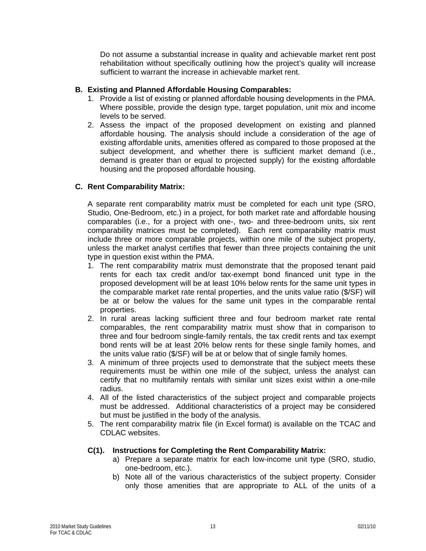Do not assume a substantial increase in quality and achievable market rent post rehabilitation without specifically outlining how the project's quality will increase sufficient to warrant the increase in achievable market rent.

#### **B. Existing and Planned Affordable Housing Comparables:**

- 1. Provide a list of existing or planned affordable housing developments in the PMA. Where possible, provide the design type, target population, unit mix and income levels to be served.
- 2. Assess the impact of the proposed development on existing and planned affordable housing. The analysis should include a consideration of the age of existing affordable units, amenities offered as compared to those proposed at the subject development, and whether there is sufficient market demand (i.e., demand is greater than or equal to projected supply) for the existing affordable housing and the proposed affordable housing.

### **C. Rent Comparability Matrix:**

A separate rent comparability matrix must be completed for each unit type (SRO, Studio, One-Bedroom, etc.) in a project, for both market rate and affordable housing comparables (i.e., for a project with one-, two- and three-bedroom units, six rent comparability matrices must be completed). Each rent comparability matrix must include three or more comparable projects, within one mile of the subject property, unless the market analyst certifies that fewer than three projects containing the unit type in question exist within the PMA.

- 1. The rent comparability matrix must demonstrate that the proposed tenant paid rents for each tax credit and/or tax-exempt bond financed unit type in the proposed development will be at least 10% below rents for the same unit types in the comparable market rate rental properties, and the units value ratio (\$/SF) will be at or below the values for the same unit types in the comparable rental properties.
- 2. In rural areas lacking sufficient three and four bedroom market rate rental comparables, the rent comparability matrix must show that in comparison to three and four bedroom single-family rentals, the tax credit rents and tax exempt bond rents will be at least 20% below rents for these single family homes, and the units value ratio (\$/SF) will be at or below that of single family homes.
- 3. A minimum of three projects used to demonstrate that the subject meets these requirements must be within one mile of the subject, unless the analyst can certify that no multifamily rentals with similar unit sizes exist within a one-mile radius.
- 4. All of the listed characteristics of the subject project and comparable projects must be addressed. Additional characteristics of a project may be considered but must be justified in the body of the analysis.
- 5. The rent comparability matrix file (in Excel format) is available on the TCAC and CDLAC websites.

#### **C(1). Instructions for Completing the Rent Comparability Matrix:**

- a) Prepare a separate matrix for each low-income unit type (SRO, studio, one-bedroom, etc.).
- b) Note all of the various characteristics of the subject property. Consider only those amenities that are appropriate to ALL of the units of a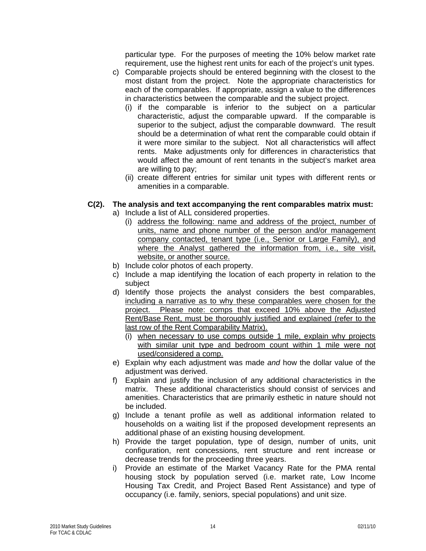particular type. For the purposes of meeting the 10% below market rate requirement, use the highest rent units for each of the project's unit types.

- c) Comparable projects should be entered beginning with the closest to the most distant from the project. Note the appropriate characteristics for each of the comparables. If appropriate, assign a value to the differences in characteristics between the comparable and the subject project.
	- (i) if the comparable is inferior to the subject on a particular characteristic, adjust the comparable upward. If the comparable is superior to the subject, adjust the comparable downward. The result should be a determination of what rent the comparable could obtain if it were more similar to the subject. Not all characteristics will affect rents. Make adjustments only for differences in characteristics that would affect the amount of rent tenants in the subject's market area are willing to pay;
	- (ii) create different entries for similar unit types with different rents or amenities in a comparable.

#### **C(2). The analysis and text accompanying the rent comparables matrix must:**

- a) Include a list of ALL considered properties.
	- (i) address the following: name and address of the project, number of units, name and phone number of the person and/or management company contacted, tenant type (i.e., Senior or Large Family), and where the Analyst gathered the information from, i.e., site visit, website, or another source.
- b) Include color photos of each property.
- c) Include a map identifying the location of each property in relation to the subject
- d) Identify those projects the analyst considers the best comparables, including a narrative as to why these comparables were chosen for the project. Please note: comps that exceed 10% above the Adjusted Rent/Base Rent, must be thoroughly justified and explained (refer to the last row of the Rent Comparability Matrix).
	- (i) when necessary to use comps outside 1 mile, explain why projects with similar unit type and bedroom count within 1 mile were not used/considered a comp.
- e) Explain why each adjustment was made *and* how the dollar value of the adjustment was derived.
- f) Explain and justify the inclusion of any additional characteristics in the matrix. These additional characteristics should consist of services and amenities. Characteristics that are primarily esthetic in nature should not be included.
- g) Include a tenant profile as well as additional information related to households on a waiting list if the proposed development represents an additional phase of an existing housing development.
- h) Provide the target population, type of design, number of units, unit configuration, rent concessions, rent structure and rent increase or decrease trends for the proceeding three years.
- i) Provide an estimate of the Market Vacancy Rate for the PMA rental housing stock by population served (i.e. market rate, Low Income Housing Tax Credit, and Project Based Rent Assistance) and type of occupancy (i.e. family, seniors, special populations) and unit size.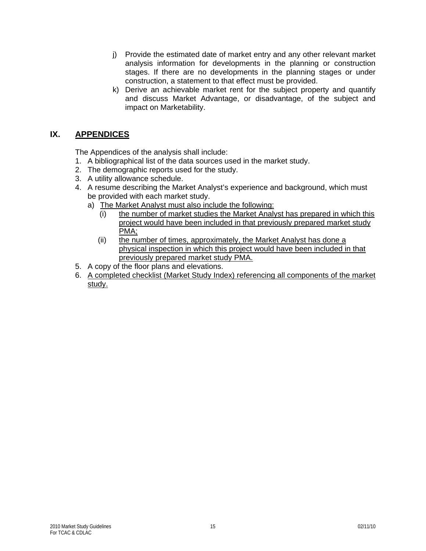- j) Provide the estimated date of market entry and any other relevant market analysis information for developments in the planning or construction stages. If there are no developments in the planning stages or under construction, a statement to that effect must be provided.
- k) Derive an achievable market rent for the subject property and quantify and discuss Market Advantage, or disadvantage, of the subject and impact on Marketability.

# **IX. APPENDICES**

The Appendices of the analysis shall include:

- 1. A bibliographical list of the data sources used in the market study.
- 2. The demographic reports used for the study.
- 3. A utility allowance schedule.
- 4. A resume describing the Market Analyst's experience and background, which must be provided with each market study.
	- a) The Market Analyst must also include the following:
		- (i) the number of market studies the Market Analyst has prepared in which this project would have been included in that previously prepared market study PMA;
		- (ii) the number of times, approximately, the Market Analyst has done a physical inspection in which this project would have been included in that previously prepared market study PMA.
- 5. A copy of the floor plans and elevations.
- 6. A completed checklist (Market Study Index) referencing all components of the market study.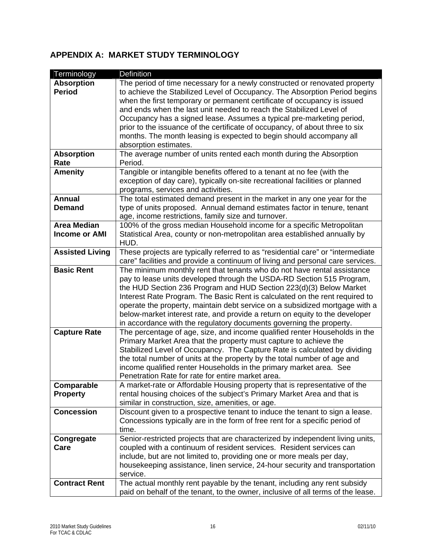# **APPENDIX A: MARKET STUDY TERMINOLOGY**

| Terminology            | Definition                                                                       |
|------------------------|----------------------------------------------------------------------------------|
| <b>Absorption</b>      | The period of time necessary for a newly constructed or renovated property       |
| <b>Period</b>          | to achieve the Stabilized Level of Occupancy. The Absorption Period begins       |
|                        | when the first temporary or permanent certificate of occupancy is issued         |
|                        | and ends when the last unit needed to reach the Stabilized Level of              |
|                        | Occupancy has a signed lease. Assumes a typical pre-marketing period,            |
|                        | prior to the issuance of the certificate of occupancy, of about three to six     |
|                        | months. The month leasing is expected to begin should accompany all              |
|                        | absorption estimates.                                                            |
| <b>Absorption</b>      | The average number of units rented each month during the Absorption              |
| Rate                   | Period.                                                                          |
| <b>Amenity</b>         | Tangible or intangible benefits offered to a tenant at no fee (with the          |
|                        | exception of day care), typically on-site recreational facilities or planned     |
|                        | programs, services and activities.                                               |
| <b>Annual</b>          | The total estimated demand present in the market in any one year for the         |
| <b>Demand</b>          | type of units proposed. Annual demand estimates factor in tenure, tenant         |
|                        | age, income restrictions, family size and turnover.                              |
| <b>Area Median</b>     | 100% of the gross median Household income for a specific Metropolitan            |
| <b>Income or AMI</b>   | Statistical Area, county or non-metropolitan area established annually by        |
|                        | HUD.                                                                             |
| <b>Assisted Living</b> | These projects are typically referred to as "residential care" or "intermediate  |
|                        | care" facilities and provide a continuum of living and personal care services.   |
| <b>Basic Rent</b>      | The minimum monthly rent that tenants who do not have rental assistance          |
|                        | pay to lease units developed through the USDA-RD Section 515 Program,            |
|                        | the HUD Section 236 Program and HUD Section 223(d)(3) Below Market               |
|                        | Interest Rate Program. The Basic Rent is calculated on the rent required to      |
|                        | operate the property, maintain debt service on a subsidized mortgage with a      |
|                        | below-market interest rate, and provide a return on equity to the developer      |
|                        | in accordance with the regulatory documents governing the property.              |
| <b>Capture Rate</b>    | The percentage of age, size, and income qualified renter Households in the       |
|                        | Primary Market Area that the property must capture to achieve the                |
|                        | Stabilized Level of Occupancy. The Capture Rate is calculated by dividing        |
|                        | the total number of units at the property by the total number of age and         |
|                        | income qualified renter Households in the primary market area. See               |
|                        | Penetration Rate for rate for entire market area.                                |
| Comparable             | A market-rate or Affordable Housing property that is representative of the       |
| <b>Property</b>        | rental housing choices of the subject's Primary Market Area and that is          |
|                        | similar in construction, size, amenities, or age.                                |
| <b>Concession</b>      | Discount given to a prospective tenant to induce the tenant to sign a lease.     |
|                        | Concessions typically are in the form of free rent for a specific period of      |
|                        | time.                                                                            |
| Congregate             | Senior-restricted projects that are characterized by independent living units,   |
| Care                   | coupled with a continuum of resident services. Resident services can             |
|                        | include, but are not limited to, providing one or more meals per day,            |
|                        | housekeeping assistance, linen service, 24-hour security and transportation      |
|                        | service.                                                                         |
| <b>Contract Rent</b>   | The actual monthly rent payable by the tenant, including any rent subsidy        |
|                        | paid on behalf of the tenant, to the owner, inclusive of all terms of the lease. |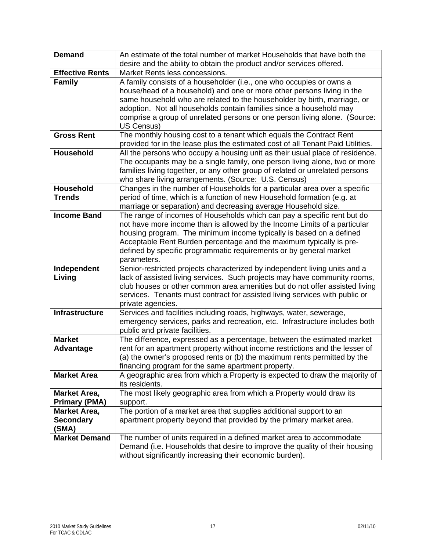| <b>Demand</b>          | An estimate of the total number of market Households that have both the<br>desire and the ability to obtain the product and/or services offered.           |
|------------------------|------------------------------------------------------------------------------------------------------------------------------------------------------------|
| <b>Effective Rents</b> | Market Rents less concessions.                                                                                                                             |
| <b>Family</b>          | A family consists of a householder (i.e., one who occupies or owns a                                                                                       |
|                        | house/head of a household) and one or more other persons living in the                                                                                     |
|                        | same household who are related to the householder by birth, marriage, or                                                                                   |
|                        | adoption. Not all households contain families since a household may                                                                                        |
|                        | comprise a group of unrelated persons or one person living alone. (Source:                                                                                 |
|                        | US Census)                                                                                                                                                 |
| <b>Gross Rent</b>      | The monthly housing cost to a tenant which equals the Contract Rent                                                                                        |
|                        | provided for in the lease plus the estimated cost of all Tenant Paid Utilities.                                                                            |
| <b>Household</b>       | All the persons who occupy a housing unit as their usual place of residence.                                                                               |
|                        | The occupants may be a single family, one person living alone, two or more                                                                                 |
|                        | families living together, or any other group of related or unrelated persons                                                                               |
|                        | who share living arrangements. (Source: U.S. Census)                                                                                                       |
| <b>Household</b>       | Changes in the number of Households for a particular area over a specific                                                                                  |
| <b>Trends</b>          | period of time, which is a function of new Household formation (e.g. at                                                                                    |
|                        | marriage or separation) and decreasing average Household size.                                                                                             |
| <b>Income Band</b>     | The range of incomes of Households which can pay a specific rent but do                                                                                    |
|                        | not have more income than is allowed by the Income Limits of a particular                                                                                  |
|                        | housing program. The minimum income typically is based on a defined                                                                                        |
|                        | Acceptable Rent Burden percentage and the maximum typically is pre-                                                                                        |
|                        | defined by specific programmatic requirements or by general market                                                                                         |
|                        | parameters.                                                                                                                                                |
| Independent            | Senior-restricted projects characterized by independent living units and a                                                                                 |
| Living                 | lack of assisted living services. Such projects may have community rooms,                                                                                  |
|                        | club houses or other common area amenities but do not offer assisted living<br>services. Tenants must contract for assisted living services with public or |
|                        | private agencies.                                                                                                                                          |
| <b>Infrastructure</b>  | Services and facilities including roads, highways, water, sewerage,                                                                                        |
|                        | emergency services, parks and recreation, etc. Infrastructure includes both                                                                                |
|                        | public and private facilities.                                                                                                                             |
| <b>Market</b>          | The difference, expressed as a percentage, between the estimated market                                                                                    |
| Advantage              | rent for an apartment property without income restrictions and the lesser of                                                                               |
|                        | (a) the owner's proposed rents or (b) the maximum rents permitted by the                                                                                   |
|                        | financing program for the same apartment property.                                                                                                         |
| <b>Market Area</b>     | A geographic area from which a Property is expected to draw the majority of                                                                                |
|                        | its residents.                                                                                                                                             |
| Market Area,           | The most likely geographic area from which a Property would draw its                                                                                       |
| <b>Primary (PMA)</b>   | support.                                                                                                                                                   |
| <b>Market Area,</b>    | The portion of a market area that supplies additional support to an                                                                                        |
| <b>Secondary</b>       | apartment property beyond that provided by the primary market area.                                                                                        |
| (SMA)                  |                                                                                                                                                            |
| <b>Market Demand</b>   | The number of units required in a defined market area to accommodate                                                                                       |
|                        | Demand (i.e. Households that desire to improve the quality of their housing                                                                                |
|                        | without significantly increasing their economic burden).                                                                                                   |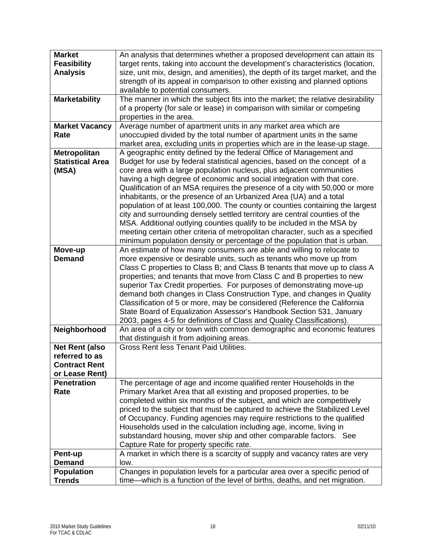| <b>Market</b>           | An analysis that determines whether a proposed development can attain its       |
|-------------------------|---------------------------------------------------------------------------------|
| <b>Feasibility</b>      | target rents, taking into account the development's characteristics (location,  |
| <b>Analysis</b>         | size, unit mix, design, and amenities), the depth of its target market, and the |
|                         | strength of its appeal in comparison to other existing and planned options      |
|                         | available to potential consumers.                                               |
| <b>Marketability</b>    | The manner in which the subject fits into the market; the relative desirability |
|                         | of a property (for sale or lease) in comparison with similar or competing       |
|                         | properties in the area.                                                         |
| <b>Market Vacancy</b>   | Average number of apartment units in any market area which are                  |
| Rate                    | unoccupied divided by the total number of apartment units in the same           |
|                         | market area, excluding units in properties which are in the lease-up stage.     |
| <b>Metropolitan</b>     | A geographic entity defined by the federal Office of Management and             |
| <b>Statistical Area</b> | Budget for use by federal statistical agencies, based on the concept of a       |
| (MSA)                   | core area with a large population nucleus, plus adjacent communities            |
|                         | having a high degree of economic and social integration with that core.         |
|                         | Qualification of an MSA requires the presence of a city with 50,000 or more     |
|                         | inhabitants, or the presence of an Urbanized Area (UA) and a total              |
|                         | population of at least 100,000. The county or counties containing the largest   |
|                         | city and surrounding densely settled territory are central counties of the      |
|                         | MSA. Additional outlying counties qualify to be included in the MSA by          |
|                         | meeting certain other criteria of metropolitan character, such as a specified   |
|                         | minimum population density or percentage of the population that is urban.       |
| Move-up                 | An estimate of how many consumers are able and willing to relocate to           |
| <b>Demand</b>           | more expensive or desirable units, such as tenants who move up from             |
|                         | Class C properties to Class B; and Class B tenants that move up to class A      |
|                         | properties; and tenants that move from Class C and B properties to new          |
|                         | superior Tax Credit properties. For purposes of demonstrating move-up           |
|                         | demand both changes in Class Construction Type, and changes in Quality          |
|                         | Classification of 5 or more, may be considered (Reference the California        |
|                         | State Board of Equalization Assessor's Handbook Section 531, January            |
|                         | 2003, pages 4-5 for definitions of Class and Quality Classifications).          |
| Neighborhood            | An area of a city or town with common demographic and economic features         |
|                         | that distinguish it from adjoining areas.                                       |
| <b>Net Rent (also</b>   | <b>Gross Rent less Tenant Paid Utilities.</b>                                   |
| referred to as          |                                                                                 |
| <b>Contract Rent</b>    |                                                                                 |
| or Lease Rent)          |                                                                                 |
| <b>Penetration</b>      | The percentage of age and income qualified renter Households in the             |
| Rate                    | Primary Market Area that all existing and proposed properties, to be            |
|                         | completed within six months of the subject, and which are competitively         |
|                         | priced to the subject that must be captured to achieve the Stabilized Level     |
|                         | of Occupancy. Funding agencies may require restrictions to the qualified        |
|                         | Households used in the calculation including age, income, living in             |
|                         | substandard housing, mover ship and other comparable factors. See               |
|                         | Capture Rate for property specific rate.                                        |
| Pent-up                 | A market in which there is a scarcity of supply and vacancy rates are very      |
| <b>Demand</b>           | low.                                                                            |
| <b>Population</b>       | Changes in population levels for a particular area over a specific period of    |
| <b>Trends</b>           | time—which is a function of the level of births, deaths, and net migration.     |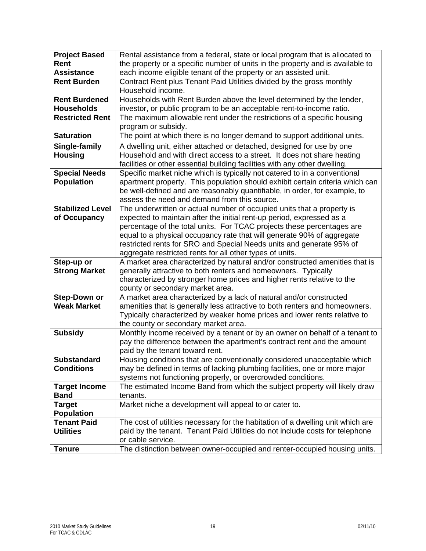| <b>Project Based</b>    | Rental assistance from a federal, state or local program that is allocated to   |
|-------------------------|---------------------------------------------------------------------------------|
| Rent                    | the property or a specific number of units in the property and is available to  |
| <b>Assistance</b>       | each income eligible tenant of the property or an assisted unit.                |
| <b>Rent Burden</b>      | Contract Rent plus Tenant Paid Utilities divided by the gross monthly           |
|                         | Household income.                                                               |
| <b>Rent Burdened</b>    | Households with Rent Burden above the level determined by the lender,           |
| <b>Households</b>       | investor, or public program to be an acceptable rent-to-income ratio.           |
| <b>Restricted Rent</b>  | The maximum allowable rent under the restrictions of a specific housing         |
|                         | program or subsidy.                                                             |
| <b>Saturation</b>       | The point at which there is no longer demand to support additional units.       |
| Single-family           | A dwelling unit, either attached or detached, designed for use by one           |
| <b>Housing</b>          | Household and with direct access to a street. It does not share heating         |
|                         | facilities or other essential building facilities with any other dwelling.      |
| <b>Special Needs</b>    | Specific market niche which is typically not catered to in a conventional       |
| <b>Population</b>       | apartment property. This population should exhibit certain criteria which can   |
|                         | be well-defined and are reasonably quantifiable, in order, for example, to      |
|                         | assess the need and demand from this source.                                    |
| <b>Stabilized Level</b> | The underwritten or actual number of occupied units that a property is          |
| of Occupancy            | expected to maintain after the initial rent-up period, expressed as a           |
|                         | percentage of the total units. For TCAC projects these percentages are          |
|                         | equal to a physical occupancy rate that will generate 90% of aggregate          |
|                         | restricted rents for SRO and Special Needs units and generate 95% of            |
|                         | aggregate restricted rents for all other types of units.                        |
| Step-up or              | A market area characterized by natural and/or constructed amenities that is     |
| <b>Strong Market</b>    | generally attractive to both renters and homeowners. Typically                  |
|                         | characterized by stronger home prices and higher rents relative to the          |
|                         | county or secondary market area.                                                |
| <b>Step-Down or</b>     | A market area characterized by a lack of natural and/or constructed             |
| <b>Weak Market</b>      | amenities that is generally less attractive to both renters and homeowners.     |
|                         | Typically characterized by weaker home prices and lower rents relative to       |
|                         | the county or secondary market area.                                            |
| <b>Subsidy</b>          | Monthly income received by a tenant or by an owner on behalf of a tenant to     |
|                         | pay the difference between the apartment's contract rent and the amount         |
|                         | paid by the tenant toward rent.                                                 |
| <b>Substandard</b>      | Housing conditions that are conventionally considered unacceptable which        |
| <b>Conditions</b>       | may be defined in terms of lacking plumbing facilities, one or more major       |
|                         | systems not functioning properly, or overcrowded conditions.                    |
| <b>Target Income</b>    | The estimated Income Band from which the subject property will likely draw      |
| <b>Band</b>             | tenants.                                                                        |
| Target                  | Market niche a development will appeal to or cater to.                          |
| <b>Population</b>       |                                                                                 |
| <b>Tenant Paid</b>      | The cost of utilities necessary for the habitation of a dwelling unit which are |
| <b>Utilities</b>        | paid by the tenant. Tenant Paid Utilities do not include costs for telephone    |
|                         | or cable service.                                                               |
| <b>Tenure</b>           | The distinction between owner-occupied and renter-occupied housing units.       |